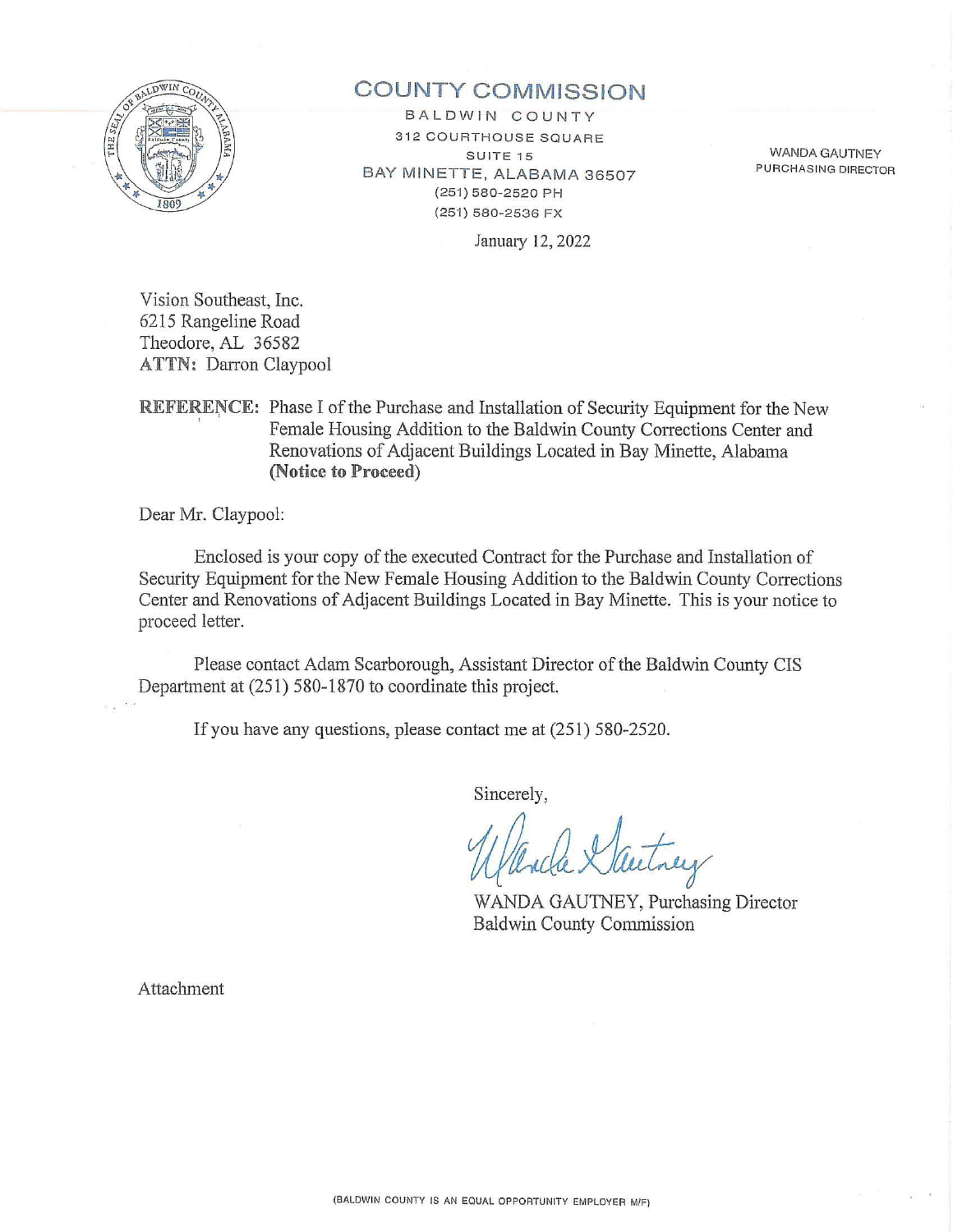

# **COUNTY COMMISSION**

BALDWIN COUNTY **312 COURTHOUSE SQUARE** SUITE 15 BAY MINETTE, ALABAMA 36507 (251) 580-2520 PH (251) 580-2536 FX

WANDA GAUTNEY PURCHASING DIRECTOR

January 12, 2022

Vision Southeast, Inc. 6215 Rangeline Road Theodore, AL 36582 ATTN: Darron Claypool

REFERENCE: Phase I of the Purchase and Installation of Security Equipment for the New Female Housing Addition to the Baldwin County Corrections Center and Renovations of Adjacent Buildings Located in Bay Minette, Alabama **(Notice to Proceed)** 

Dear Mr. Claypool:

Enclosed is your copy of the executed Contract for the Purchase and Installation of Security Equipment for the New Female Housing Addition to the Baldwin County Corrections Center and Renovations of Adjacent Buildings Located in Bay Minette. This is your notice to proceed letter.

Please contact Adam Scarborough, Assistant Director of the Baldwin County CIS Department at (251) 580-1870 to coordinate this project.

If you have any questions, please contact me at (251) 580-2520.

Sincerely,

WANDA GAUTNEY, Purchasing Director Baldwin County Commission

Attachment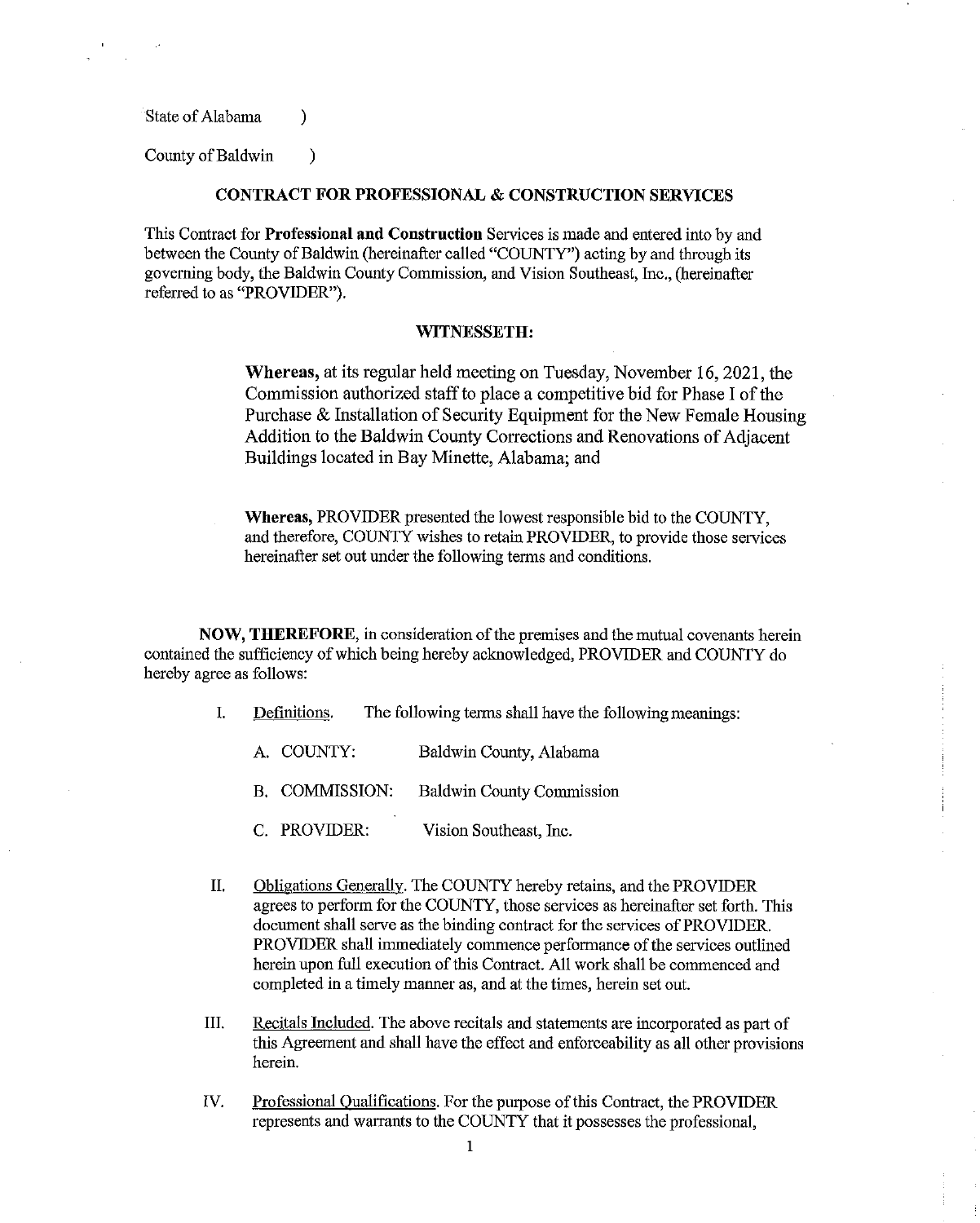State of Alabama (b)

County of Baldwin (1)

### **CONTRACT FOR PROFESSIONAL & CONSTRUCTION SERVICES**

This Contract for **Professional and Constrnction** Services is made and entered into by and between the County of Baldwin (hereinafter called "COUNTY") acting by and through its governing body, the Baldwin County Commission, and Vision Southeast, Inc., (hereinafter referred to as "PROVIDER").

### **WITNESSETH:**

**Whereas,** at its regular held meeting on Tuesday, November 16, 2021, the Commission authorized staff to place a competitive bid for Phase I of the Purchase & Installation of Security Equipment for the New Female Housing Addition to the Baldwin County Corrections and Renovations of Adjacent Buildings located in Bay Minette, Alabama; and

**Whereas,** PROVIDER presented the lowest responsible bid to the COUNTY, and therefore, COUNTY wishes to retain PROVIDER, to provide those services hereinafter set out under the following terms and conditions.

**NOW, THEREFORE,** in consideration of the premises and the mutual covenants herein contained the sufficiency of which being hereby acknowledged, PROVIDER and COUNTY do hereby agree as follows:

- I. Definitions. The following terms shall have the following meanings:
	- A. COUNTY: Baldwin County, Alabama
	- B. COMMISSION: Baldwin County Commission
	- C. PROVIDER: Vision Southeast, Inc.
- II. Obligations Generally. The COUNTY hereby retains, and the PROVIDER agrees to perform for the COUNTY, those services as hereinafter set forth. This document shall serve as the binding contract for the services of PROVIDER. PROVIDER shall immediately commence performance of the services outlined herein upon full execution of this Contract. All work shall be commenced and completed in a timely manner as, and at the times, herein set out.
- Ill. Recitals Included. The above recitals and statements are incorporated as part of this Agreement and shall have the effect and enforceability as all other provisions herein.
- IV. Professional Qualifications. For the purpose of this Contract, the PROVIDER represents and warrants to the COUNTY that it possesses the professional,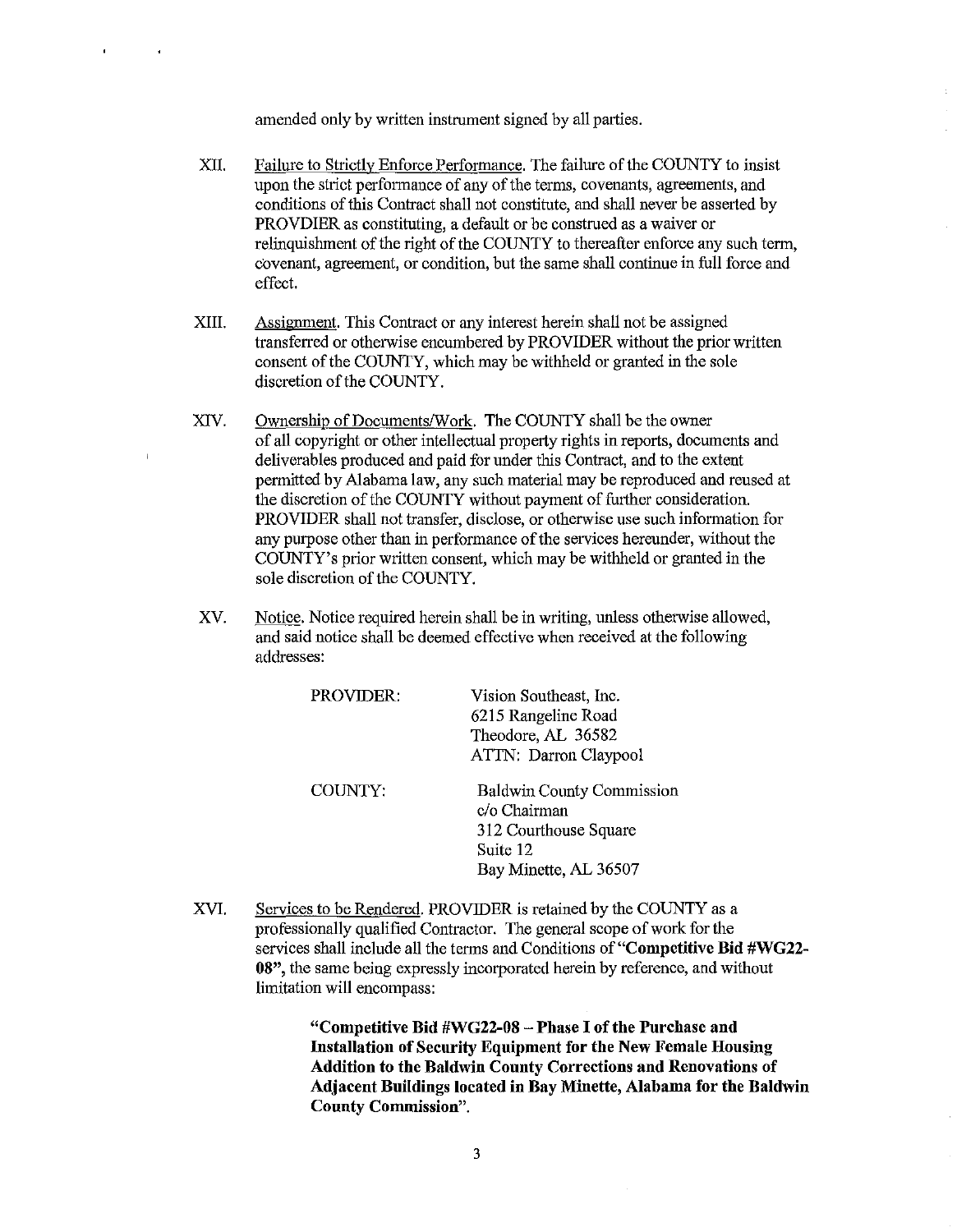amended only by written instrument signed by all parties.

- XII. Failure to Strictly Enforce Performance. The failure of the COUNTY to insist upon the strict performance of any of the terms, covenants, agreements, and conditions of this Contract shall not constitute, and shall never be asserted by PROVDIER as constituting, a default or be construed as a waiver or relinquishment of the right of the COUNTY to thereafter enforce any such term, covenant, agreement, or condition, but the same shall continue in full force and effect.
- XIII. Assignment. This Contract or any interest herein shall not be assigned transferred or otherwise encumbered by PROVIDER without the prior written consent of the COUNTY, which may be withheld or granted in the sole discretion of the COUNTY.
- XIV. Ownership of Documents/Work. The COUNTY shall be the owner of all copyright or other intellectual property rights in reports, documents and deliverables produced and paid for under this Contract, and to the extent pennitted by Alabama law, any such material may be reproduced and reused at the discretion of the COUNTY without payment of further consideration. PROVIDER shall not transfer, disclose, or otherwise use such information for any purpose other than in performance of the services hereunder, without the COUNTY's prior written consent, which may be withheld or granted in the sole discretion of the COUNTY.

J.

XV. Notice. Notice required herein shall be in writing, unless otherwise allowed, and said notice shall be deemed effective when received at the following addresses:

| PROVIDER: | Vision Southeast, Inc.<br>6215 Rangeline Road<br>Theodore, AL 36582<br>ATTN: Darron Claypool                   |
|-----------|----------------------------------------------------------------------------------------------------------------|
| COUNTY:   | <b>Baldwin County Commission</b><br>c/o Chairman<br>312 Courthouse Square<br>Suite 12<br>Bay Minette, AL 36507 |

XVI. Services to be Rendered. PROVIDER is retained by the COUNTY as a professionally qualified Contractor. The general scope of work for the services shall include all the terms and Conditions of **"Competitive Bid #WG22- 08",** the same being expressly incorporated herein by reference, and without limitation will encompass:

> **"Competitive Bid #WG22-08 - Phase I of the Purchase and Iustallation of Security Equipment for the New Female Housing Addition to the Baldwin County Corrections and Renovations of Adjacent Buildings located in Bay Minette, Alabama for the Baldwin County Commission".**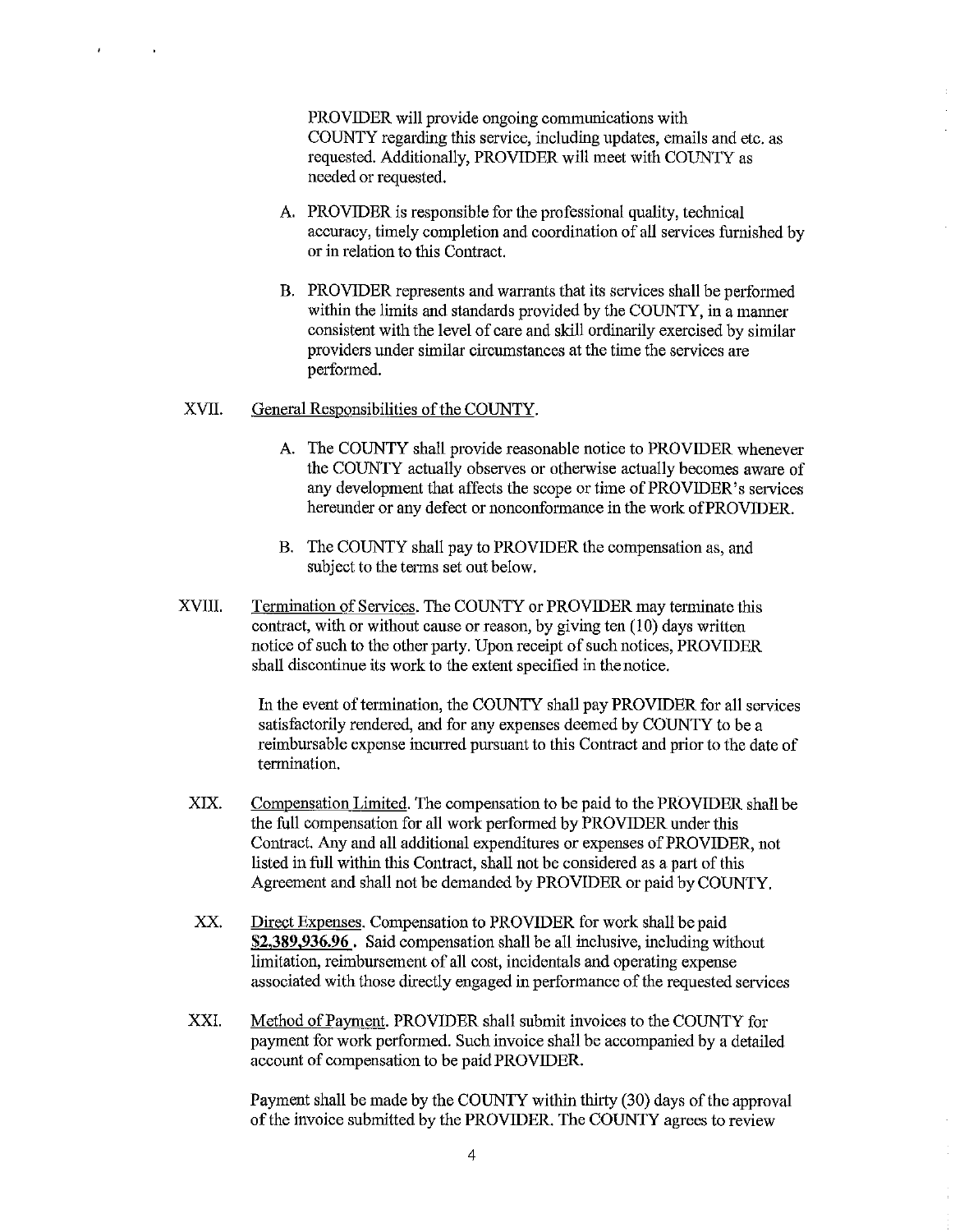PROVIDER will provide ongoing communications with COUNTY regarding this service, including updates, emails and etc. as requested. Additionally, PROVIDER will meet with COUNTY as needed or requested.

- A. PROVIDER is responsible for the professional quality, technical accuracy, timely completion and coordination of all services furnished by or in relation to this Contract.
- B. PROVIDER represents and warrants that its services shall be performed within the limits and standards provided by the COUNTY, in a manner consistent with the level of care and skill ordinarily exercised by similar providers under similar circumstances at the time the services are performed.

#### XVII. General Responsibilities of the COUNTY.

 $\overline{1}$ 

- A. The COUNTY shall provide reasonable notice to PROVIDER whenever the COUNTY actually observes or otherwise actually becomes aware of any development that affects the scope or time of PROVIDER's services hereunder or any defect or nonconformance in the work of PROVIDER.
- B. The COUNTY shall pay to PROVIDER the compensation as, and subject to the terms set out below.
- XVIII. Termination of Services. The COUNTY or PROVIDER may terminate this contract, with or without cause or reason, by giving ten (10) days written notice of such to the other party. Upon receipt of such notices, PROVIDER shall discontinue its work to the extent specified in the notice.

In the event of termination, the COUNTY shall pay PROVIDER for all services satisfactorily rendered, and for any expenses deemed by COUNTY to be a reimbursable expense incurred pursuant to this Contract and prior to the date of termination.

- XIX. Compensation Limited. The compensation to be paid to the PROVIDER shall be the full compensation for all work performed by PROVIDER under this Contract. Any and all additional expenditures or expenses of PROVIDER, not listed in full within this Contract, shall not be considered as a part of this Agreement and shall not be demanded by PROVIDER or paid by COUNTY.
- XX. Direct Expenses. Compensation to PROVIDER for work shall be paid **\$2,389,936.96** . Said compensation shall be all inclusive, including without limitation, reimbursement of all cost, incidentals and operating expense associated with those directly engaged in performance of the requested services
- XXI. Method of Payment. PROVIDER shall submit invoices to the COUNTY for payment for work performed. Such invoice shall be accompanied by a detailed account of compensation to be paid PROVIDER.

Payment shall be made by the COUNTY within thirty (30) days of the approval of the invoice submitted by the PROVIDER. The COUNTY agrees to review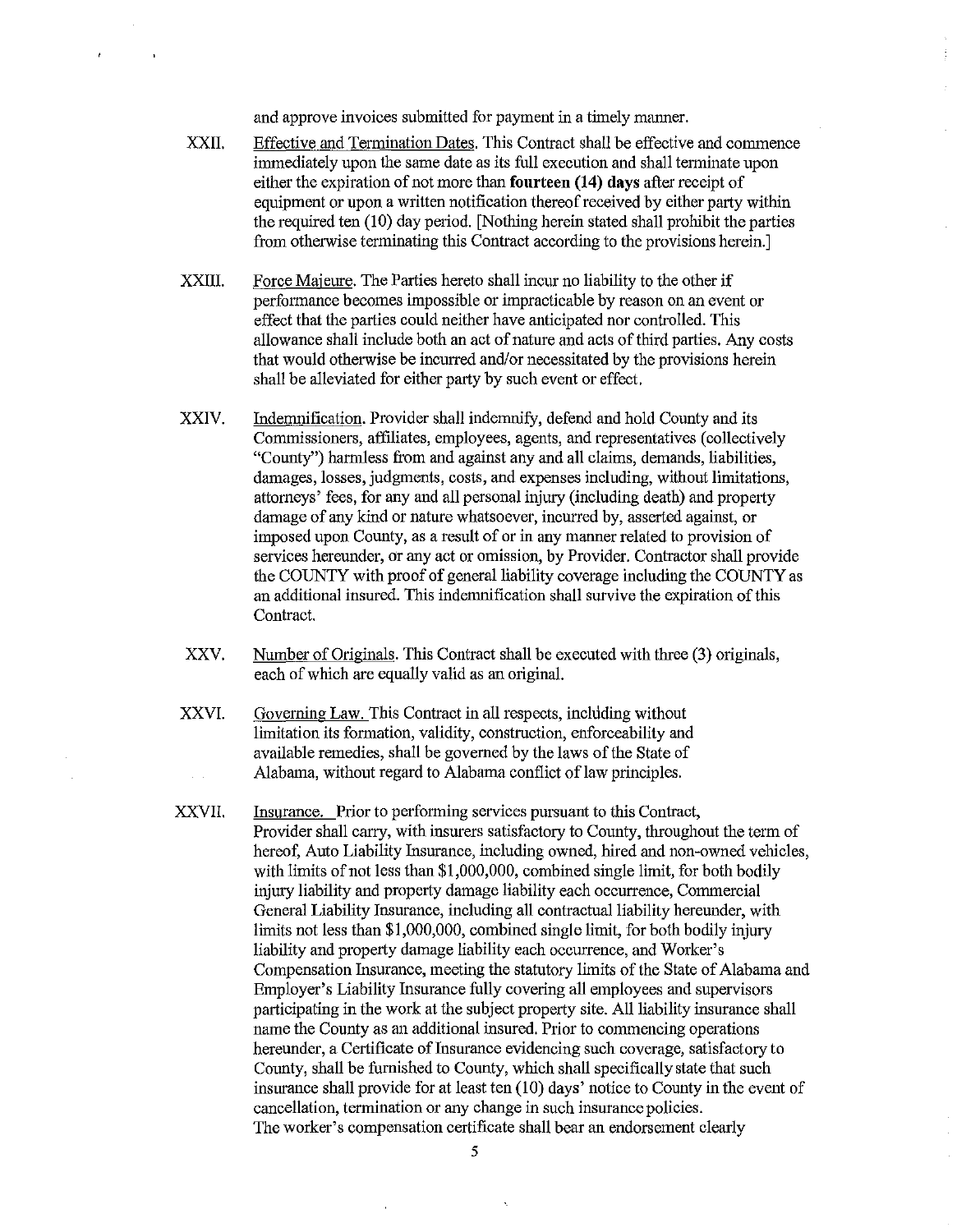and approve invoices submitted for payment in a timely manner.

- XXII. Effective and Termination Dates. This Contract shall be effective and commence immediately upon the same date as its full execution and shall terminate upon either the expiration of not more than **fourteen (14) days** after receipt of equipment or upon a written notification thereof received by either party within the required ten (10) day period. [Nothing herein stated shall prohibit the parties from otherwise terminating this Contract according to the provisions herein.]
- XXIII. Force Majeure. The Parties hereto shall incur no liability to the other if performance becomes impossible or impracticable by reason on an event or effect that the parties could neither have anticipated nor controlled. This allowance shall include both an act of nature and acts of third parties. Any costs that would otherwise be incurred and/or necessitated by the provisions herein shall be alleviated for either party by such event or effect.
- XXIV. Indenmification. Provider shall indenmify, defend and hold County and its Commissioners, affiliates, employees, agents, and representatives (collectively "County") harmless from and against any and all claims, demands, liabilities, damages, losses, judgments, costs, and expenses including, without limitations, attorneys' fees, for any and all personal injury (including death) and property damage of any kind or nature whatsoever, incurred by, asserted against, or imposed upon County, as a result of or in any manner related to provision of services hereunder, or any act or omission, by Provider. Contractor shall provide the COUNTY with proof of general liability coverage including the COUNTY as an additional insured. This indemnification shall survive the expiration of this Contract.
- xxv. Number of Originals. This Contract shall be executed with three (3) originals, each of which are equally valid as an original.
- XXVI. Governing Law. This Contract in all respects, including without limitation its formation, validity, construction, enforceability and available remedies, shall be governed by the laws of the State of Alabama, without regard to Alabama conflict of law principles.
- XXVII. Insurance. Prior to performing services pursuant to this Contract, Provider shall carry, with insurers satisfactory to County, throughout the term of hereof, Auto Liability Insurance, including owned, hired and non-owned vehicles, with limits of not less than \$1,000,000, combined single limit, for both bodily injury liability and property damage liability each occurrence, Commercial General Liability Insurance, including all contractual liability hereunder, with limits not less than \$1,000,000, combined single limit, for both bodily injury liability and property damage liability each occurrence, and Worker's Compensation Insurance, meeting the statutory limits of the State of Alabama and Employer's Liability Insurance fully covering all employees and supervisors participating in the work at the subject property site. All liability insurance shall name the County as an additional insured. Prior to commencing operations hereunder, a Certificate of Insurance evidencing such coverage, satisfactory to County, shall be furnished to County, which shall specifically state that such insurance shall provide for at least ten  $(10)$  days' notice to County in the event of cancellation, termination or any change in such insurance policies. The worker's compensation certificate shall bear an endorsement clearly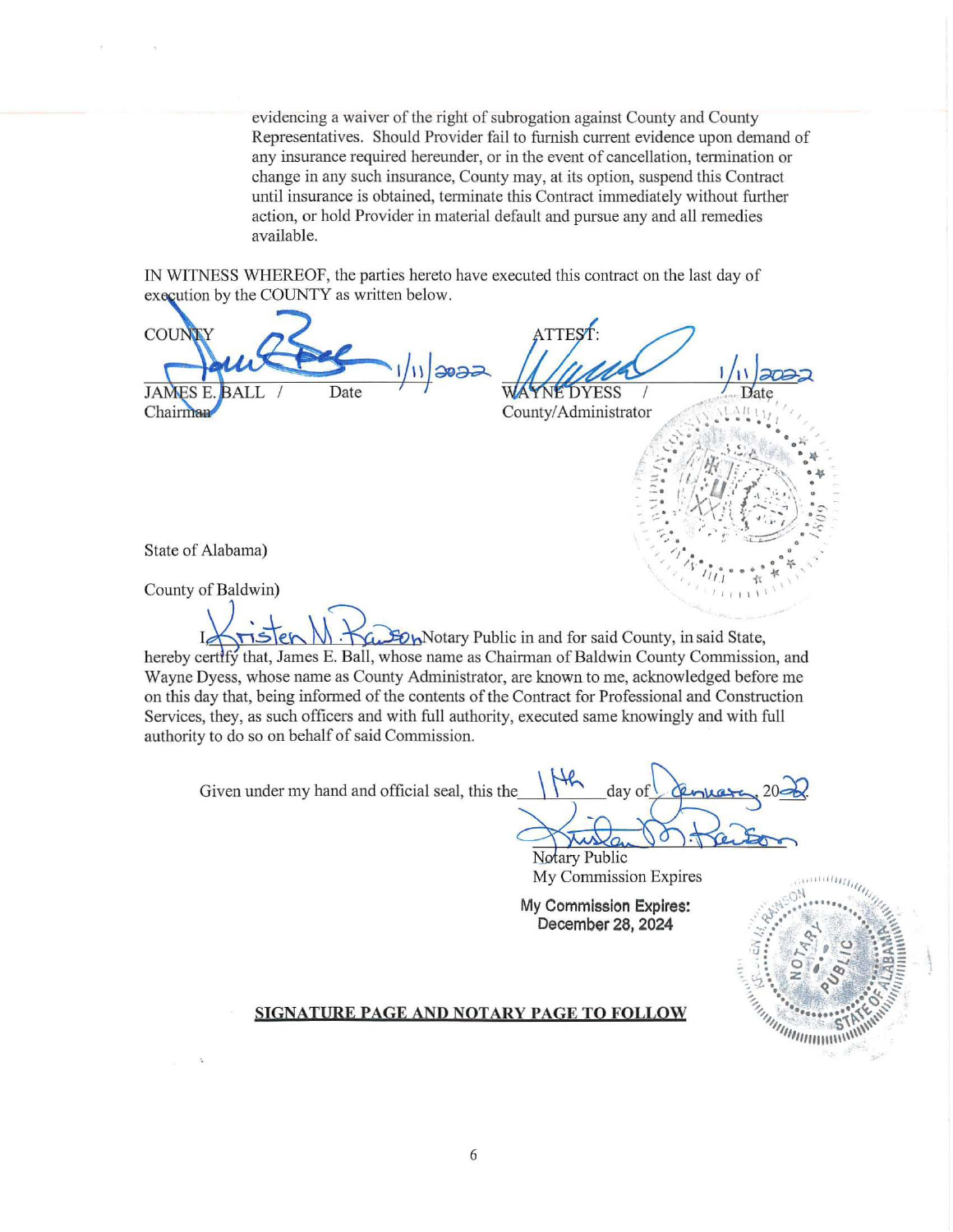evidencing a waiver of the right of subrogation against County and County Representatives. Should Provider fail to furnish current evidence upon demand of any insurance required hereunder, or in the event of cancellation, termination or change in any such insurance, County may, at its option, suspend this Contract until insurance is obtained, tenninate this Contract immediately without further action, or hold Provider in material default and pursue any and all remedies available.

IN WITNESS WHEREOF, the parties hereto have executed this contract on the last day of execution by the COUNTY as written below.

ATTEST: COUN  $1/11$  2022 **JAMES E** Date **DYESS** County/Administrator Chairman State of Alabama) County of Baldwin) Bow Notary Public in and for said County, in said State, hereby certify that, James E. Ball, whose name as Chairman of Baldwin County Commission, and Wayne Dyess, whose name as County Administrator, are known to me, acknowledged before me on this day that, being informed of the contents of the Contract for Professional and Construction Services, they, as such officers and with full authority, executed same knowingly and with full authority to do so on behalf of said Commission. Given under my hand and official seal, this the day of

Notary Public My Commission Expires

**My Commission Expires: December 28, 2024** 



## **SIGNATURE PAGE AND NOTARY PAGE TO FOLLOW**